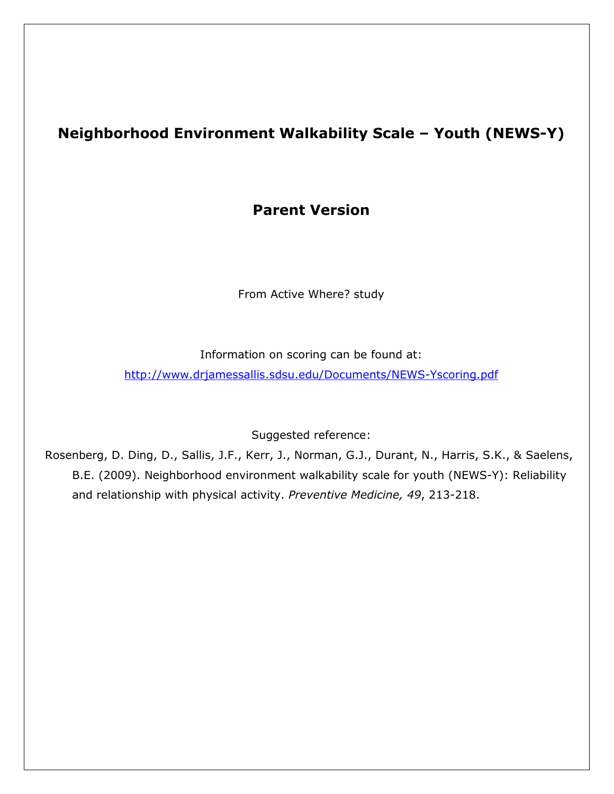#### Neighborhood Environment Walkability Scale – Youth (NEWS-Y)

#### Parent Version

From Active Where? study

Information on scoring can be found at:

http://www.drjamessallis.sdsu.edu/Documents/NEWS-Yscoring.pdf

Suggested reference:

Rosenberg, D. Ding, D., Sallis, J.F., Kerr, J., Norman, G.J., Durant, N., Harris, S.K., & Saelens, B.E. (2009). Neighborhood environment walkability scale for youth (NEWS-Y): Reliability and relationship with physical activity. Preventive Medicine, 49, 213-218.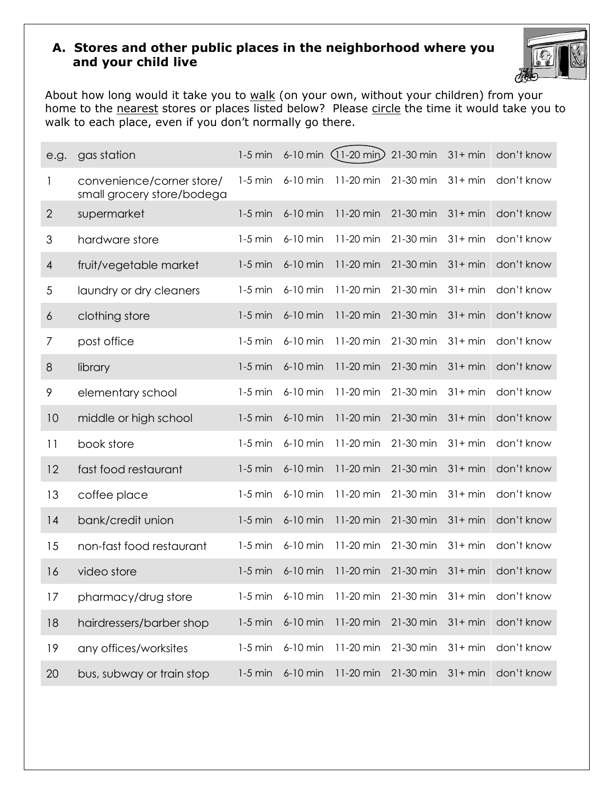#### A. Stores and other public places in the neighborhood where you and your child live



About how long would it take you to walk (on your own, without your children) from your home to the nearest stores or places listed below? Please circle the time it would take you to walk to each place, even if you don't normally go there.

| e.g.           | gas station                                             | $1-5$ min |          | 6-10 min (11-20 min) 21-30 min |           | $31 + min$ | don't know                                              |
|----------------|---------------------------------------------------------|-----------|----------|--------------------------------|-----------|------------|---------------------------------------------------------|
| 1              | convenience/corner store/<br>small grocery store/bodega | $1-5$ min | 6-10 min | 11-20 min                      | 21-30 min | $31 + min$ | don't know                                              |
| $\overline{2}$ | supermarket                                             | $1-5$ min | 6-10 min | 11-20 min                      | 21-30 min | $31 + min$ | don't know                                              |
| 3              | hardware store                                          | $1-5$ min | 6-10 min | 11-20 min                      | 21-30 min | $31+ min$  | don't know                                              |
| 4              | fruit/vegetable market                                  | $1-5$ min | 6-10 min | 11-20 min                      | 21-30 min | $31 + min$ | don't know                                              |
| $\sqrt{5}$     | laundry or dry cleaners                                 | $1-5$ min | 6-10 min | 11-20 min                      | 21-30 min | $31 + min$ | don't know                                              |
| 6              | clothing store                                          | $1-5$ min | 6-10 min | 11-20 min                      | 21-30 min | $31 + min$ | don't know                                              |
| 7              | post office                                             | $1-5$ min | 6-10 min | 11-20 min                      | 21-30 min | $31 + min$ | don't know                                              |
| 8              | library                                                 | $1-5$ min | 6-10 min | 11-20 min                      | 21-30 min | $31 + min$ | don't know                                              |
| 9              | elementary school                                       | $1-5$ min | 6-10 min | 11-20 min                      | 21-30 min | $31 + min$ | don't know                                              |
| 10             | middle or high school                                   | $1-5$ min | 6-10 min | 11-20 min                      | 21-30 min | $31 + min$ | don't know                                              |
| 11             | book store                                              | $1-5$ min | 6-10 min | 11-20 min                      | 21-30 min | $31 + min$ | don't know                                              |
| 12             | fast food restaurant                                    | $1-5$ min | 6-10 min | 11-20 min                      | 21-30 min | $31 + min$ | don't know                                              |
| 13             | coffee place                                            | $1-5$ min | 6-10 min | 11-20 min                      | 21-30 min | $31 + min$ | don't know                                              |
| 4              | bank/credit union                                       | $1-5$ min | 6-10 min | 11-20 min                      | 21-30 min | $31 + min$ | don't know                                              |
| 15             | non-fast food restaurant                                | $1-5$ min | 6-10 min | 11-20 min                      | 21-30 min | $31 + min$ | don't know                                              |
| 16             | video store                                             | $1-5$ min | 6-10 min | 11-20 min                      | 21-30 min | $31 + min$ | don't know                                              |
| 17             | pharmacy/drug store                                     |           |          |                                |           |            | 1-5 min 6-10 min 11-20 min 21-30 min 31+ min don't know |
| 18             | hairdressers/barber shop                                | $1-5$ min | 6-10 min | 11-20 min                      | 21-30 min | $31 + min$ | don't know                                              |
| 19             | any offices/worksites                                   | $1-5$ min | 6-10 min | 11-20 min                      | 21-30 min | $31 + min$ | don't know                                              |
| 20             | bus, subway or train stop                               | $1-5$ min | 6-10 min | 11-20 min                      | 21-30 min | $31 + min$ | don't know                                              |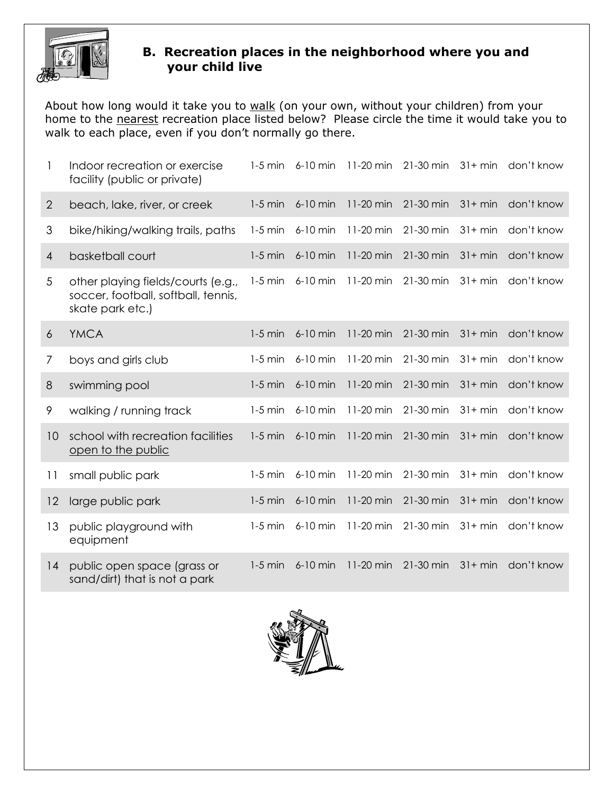

#### B. Recreation places in the neighborhood where you and your child live

About how long would it take you to walk (on your own, without your children) from your home to the nearest recreation place listed below? Please circle the time it would take you to walk to each place, even if you don't normally go there.

|                | Indoor recreation or exercise<br>facility (public or private)                                 | $1-5$ min | $6-10$ min | 11-20 min | 21-30 min | $31 + min$ | don't know |
|----------------|-----------------------------------------------------------------------------------------------|-----------|------------|-----------|-----------|------------|------------|
| $\overline{2}$ | beach, lake, river, or creek                                                                  | $1-5$ min | 6-10 min   | 11-20 min | 21-30 min | $31 + min$ | don't know |
| 3              | bike/hiking/walking trails, paths                                                             | $1-5$ min | 6-10 min   | 11-20 min | 21-30 min | $31 + min$ | don't know |
| 4              | basketball court                                                                              | $1-5$ min | 6-10 min   | 11-20 min | 21-30 min | $31 + min$ | don't know |
| 5              | other playing fields/courts (e.g.,<br>soccer, football, softball, tennis,<br>skate park etc.) | $1-5$ min | 6-10 min   | 11-20 min | 21-30 min | $31 + min$ | don't know |
| 6              | <b>YMCA</b>                                                                                   | $1-5$ min | 6-10 min   | 11-20 min | 21-30 min | $31 + min$ | don't know |
| 7              | boys and girls club                                                                           | $1-5$ min | 6-10 min   | 11-20 min | 21-30 min | $31 + min$ | don't know |
| $8\,$          | swimming pool                                                                                 | $1-5$ min | 6-10 min   | 11-20 min | 21-30 min | $31 + min$ | don't know |
| 9              | walking / running track                                                                       | $1-5$ min | 6-10 min   | 11-20 min | 21-30 min | $31+ min$  | don't know |
| 10             | school with recreation facilities<br>open to the public                                       | $1-5$ min | 6-10 min   | 11-20 min | 21-30 min | $31 + min$ | don't know |
| 11             | small public park                                                                             | $1-5$ min | 6-10 min   | 11-20 min | 21-30 min | $31+ min$  | don't know |
| 12             | large public park                                                                             | $1-5$ min | 6-10 min   | 11-20 min | 21-30 min | $31 + min$ | don't know |
| 13             | public playground with<br>equipment                                                           | $1-5$ min | 6-10 min   | 11-20 min | 21-30 min | $31 + min$ | don't know |
| 14             | public open space (grass or<br>sand/dirt) that is not a park                                  | $1-5$ min | 6-10 min   | 11-20 min | 21-30 min | $31 + min$ | don't know |

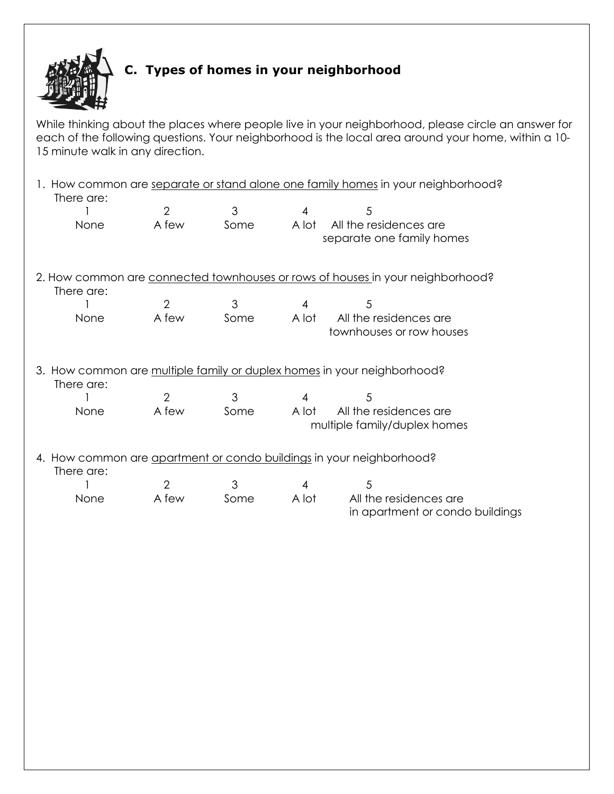

## C. Types of homes in your neighborhood

While thinking about the places where people live in your neighborhood, please circle an answer for each of the following questions. Your neighborhood is the local area around your home, within a 10- 15 minute walk in any direction.

| 1. How common are separate or stand alone one family homes in your neighborhood?<br>There are: |                |      |                |                                                                                |  |
|------------------------------------------------------------------------------------------------|----------------|------|----------------|--------------------------------------------------------------------------------|--|
|                                                                                                | $\overline{2}$ | 3    | 4              | 5                                                                              |  |
| None                                                                                           | A few          | Some | A lot          | All the residences are<br>separate one family homes                            |  |
| There are:                                                                                     |                |      |                | 2. How common are connected townhouses or rows of houses in your neighborhood? |  |
|                                                                                                | $\overline{2}$ | 3    | $\overline{4}$ | 5                                                                              |  |
| None                                                                                           | A few          | Some | A lot          | All the residences are<br>townhouses or row houses                             |  |
| There are:                                                                                     |                |      |                | 3. How common are multiple family or duplex homes in your neighborhood?        |  |
|                                                                                                | $\overline{2}$ | 3    | 4              | 5                                                                              |  |
| None                                                                                           | A few          | Some | A lot          | All the residences are<br>multiple family/duplex homes                         |  |
| There are:                                                                                     |                |      |                | 4. How common are apartment or condo buildings in your neighborhood?           |  |
|                                                                                                | $\overline{2}$ | 3    | 4              | 5                                                                              |  |
| None                                                                                           | A few          | Some | A lot          | All the residences are<br>in apartment or condo buildings                      |  |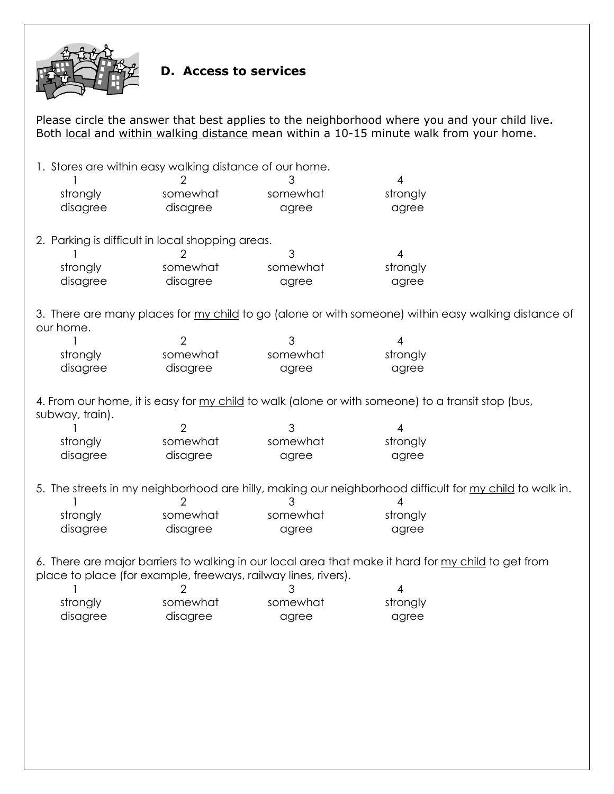

#### D. Access to services

Please circle the answer that best applies to the neighborhood where you and your child live. Both local and within walking distance mean within a 10-15 minute walk from your home.

1. Stores are within easy walking distance of our home. 1 2 3 4 strongly somewhat somewhat somewhat strongly disagree disagree agree agree agree 2. Parking is difficult in local shopping areas. 1 2 3 4 strongly somewhat somewhat somewhat strongly disagree disagree agree agree agree 3. There are many places for my child to go (alone or with someone) within easy walking distance of our home. 1 2 3 4 strongly somewhat somewhat somewhat strongly disagree disagree agree agree agree 4. From our home, it is easy for my child to walk (alone or with someone) to a transit stop (bus, subway, train). 1 2 3 4 strongly somewhat somewhat somewhat strongly disagree disagree agree agree agree 5. The streets in my neighborhood are hilly, making our neighborhood difficult for my child to walk in. 1 2 3 4 strongly somewhat somewhat somewhat strongly disagree disagree agree agree agree 6. There are major barriers to walking in our local area that make it hard for my child to get from place to place (for example, freeways, railway lines, rivers). 1 2 3 4 strongly somewhat somewhat somewhat strongly disagree disagree agree agree agree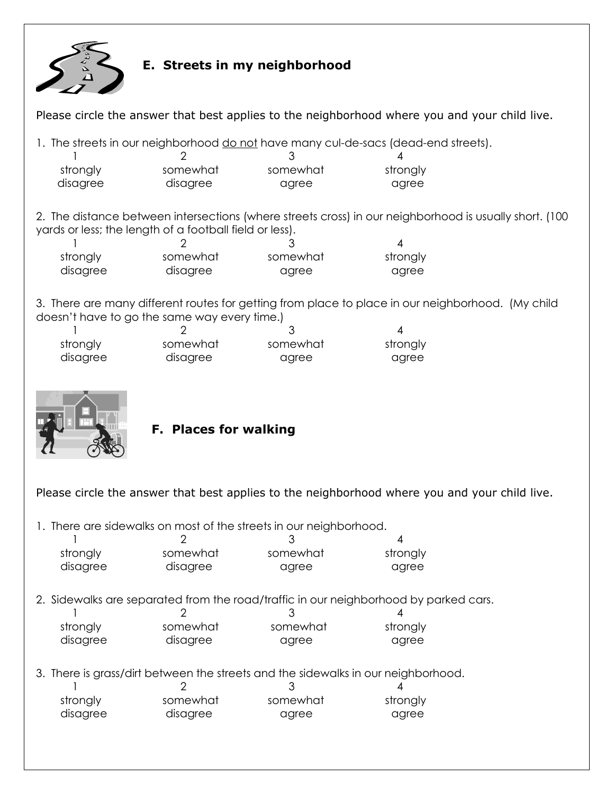

#### E. Streets in my neighborhood

Please circle the answer that best applies to the neighborhood where you and your child live.

1. The streets in our neighborhood do not have many cul-de-sacs (dead-end streets).

| strongly | somewhat | somewhat | strongly |
|----------|----------|----------|----------|
| disagree | disagree | agree    | agree    |

2. The distance between intersections (where streets cross) in our neighborhood is usually short. (100 yards or less; the length of a football field or less).

| strongly | somewhat | somewhat | strongly |
|----------|----------|----------|----------|
| disagree | disagree | agree    | agree    |

3. There are many different routes for getting from place to place in our neighborhood. (My child doesn't have to go the same way every time.)

| strongly | somewhat | somewhat | strongly |
|----------|----------|----------|----------|
| disagree | disagree | agree    | agree    |



#### F. Places for walking

Please circle the answer that best applies to the neighborhood where you and your child live.

1. There are sidewalks on most of the streets in our neighborhood.

| strongly | somewhat | somewhat                                                                          | strongly                                                                             |  |  |  |
|----------|----------|-----------------------------------------------------------------------------------|--------------------------------------------------------------------------------------|--|--|--|
| disagree | disagree | agree                                                                             | agree                                                                                |  |  |  |
|          |          |                                                                                   |                                                                                      |  |  |  |
|          |          |                                                                                   | 2. Sidewalks are separated from the road/traffic in our neighborhood by parked cars. |  |  |  |
|          |          |                                                                                   |                                                                                      |  |  |  |
| strongly | somewhat | somewhat                                                                          | strongly                                                                             |  |  |  |
| disagree | disagree | agree                                                                             | agree                                                                                |  |  |  |
|          |          |                                                                                   |                                                                                      |  |  |  |
|          |          | 3. There is grass/dirt between the streets and the sidewalks in our neighborhood. |                                                                                      |  |  |  |
|          |          |                                                                                   |                                                                                      |  |  |  |

| strongly | somewhat | somewhat | strongly |
|----------|----------|----------|----------|
| disagree | disagree | agree    | agree    |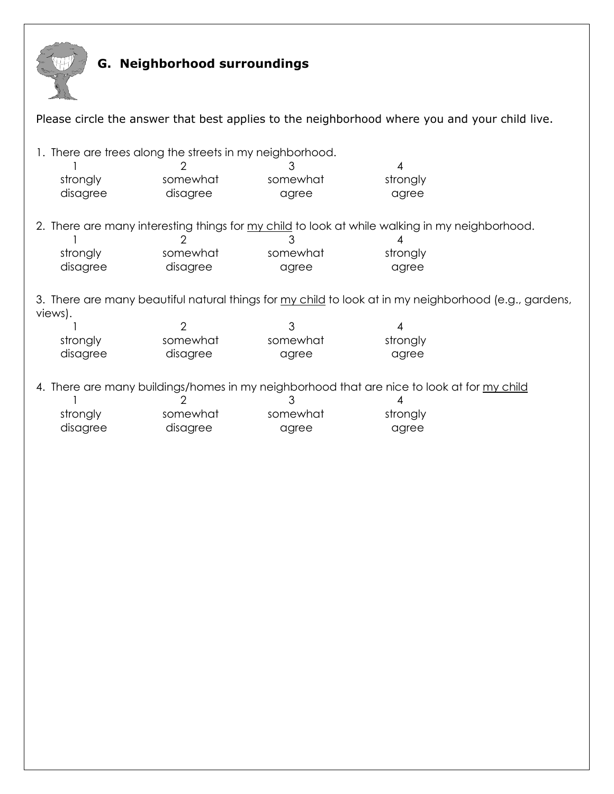

# G. Neighborhood surroundings

| Please circle the answer that best applies to the neighborhood where you and your child live.                                                                                             |                                        |                                                                                                                                 |                        |  |  |  |
|-------------------------------------------------------------------------------------------------------------------------------------------------------------------------------------------|----------------------------------------|---------------------------------------------------------------------------------------------------------------------------------|------------------------|--|--|--|
| 1. There are trees along the streets in my neighborhood.<br>strongly<br>disagree                                                                                                          | somewhat<br>disagree                   | 3<br>somewhat<br>agree                                                                                                          | 4<br>strongly<br>agree |  |  |  |
| strongly<br>disagree                                                                                                                                                                      | 2<br>somewhat<br>disagree              | 2. There are many interesting things for my child to look at while walking in my neighborhood.<br>З<br>somewhat<br>agree        | 4<br>strongly<br>agree |  |  |  |
| views).<br>strongly<br>disagree                                                                                                                                                           | $\overline{2}$<br>somewhat<br>disagree | 3. There are many beautiful natural things for my child to look at in my neighborhood (e.g., gardens,<br>3<br>somewhat<br>agree | 4<br>strongly<br>agree |  |  |  |
| 4. There are many buildings/homes in my neighborhood that are nice to look at for my child<br>З<br>strongly<br>strongly<br>somewhat<br>somewhat<br>disagree<br>disagree<br>agree<br>agree |                                        |                                                                                                                                 |                        |  |  |  |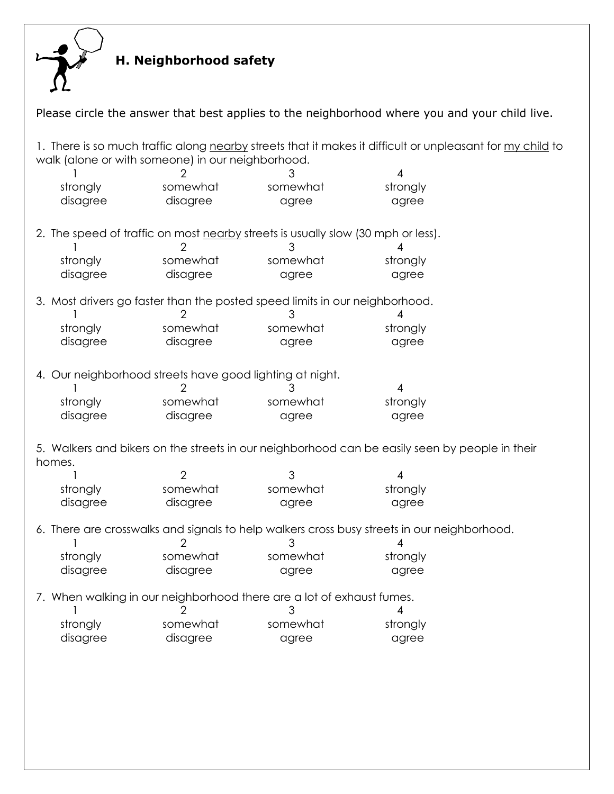

# H. Neighborhood safety

|                                                          | Please circle the answer that best applies to the neighborhood where you and your child live. |                                                                                       |                                                                                                           |  |  |  |
|----------------------------------------------------------|-----------------------------------------------------------------------------------------------|---------------------------------------------------------------------------------------|-----------------------------------------------------------------------------------------------------------|--|--|--|
| walk (alone or with someone) in our neighborhood.        |                                                                                               |                                                                                       | 1. There is so much traffic along nearby streets that it makes it difficult or unpleasant for my child to |  |  |  |
| strongly<br>disagree                                     | somewhat<br>disagree                                                                          | somewhat<br>agree                                                                     | 4<br>strongly<br>agree                                                                                    |  |  |  |
|                                                          |                                                                                               | 2. The speed of traffic on most nearby streets is usually slow (30 mph or less).<br>З | 4                                                                                                         |  |  |  |
| strongly<br>disagree                                     | somewhat<br>disagree                                                                          | somewhat<br>agree                                                                     | strongly<br>agree                                                                                         |  |  |  |
|                                                          |                                                                                               | 3. Most drivers go faster than the posted speed limits in our neighborhood.<br>3      | 4                                                                                                         |  |  |  |
| strongly<br>disagree                                     | somewhat<br>disagree                                                                          | somewhat<br>agree                                                                     | strongly<br>agree                                                                                         |  |  |  |
| 4. Our neighborhood streets have good lighting at night. |                                                                                               | 3                                                                                     | $\overline{4}$                                                                                            |  |  |  |
| strongly<br>disagree                                     | somewhat<br>disagree                                                                          | somewhat<br>agree                                                                     | strongly<br>agree                                                                                         |  |  |  |
| homes.                                                   |                                                                                               |                                                                                       | 5. Walkers and bikers on the streets in our neighborhood can be easily seen by people in their            |  |  |  |
|                                                          | $\overline{2}$                                                                                | 3                                                                                     | 4                                                                                                         |  |  |  |
| strongly<br>disagree                                     | somewhat<br>disagree                                                                          | somewhat<br>agree                                                                     | strongly<br>agree                                                                                         |  |  |  |
|                                                          | 2                                                                                             | 3                                                                                     | 6. There are crosswalks and signals to help walkers cross busy streets in our neighborhood.<br>4          |  |  |  |
| strongly<br>disagree                                     | somewhat<br>disagree                                                                          | somewhat<br>agree                                                                     | strongly<br>agree                                                                                         |  |  |  |
|                                                          |                                                                                               | 7. When walking in our neighborhood there are a lot of exhaust fumes.<br>З            | 4                                                                                                         |  |  |  |
| strongly<br>disagree                                     | somewhat<br>disagree                                                                          | somewhat<br>agree                                                                     | strongly<br>agree                                                                                         |  |  |  |
|                                                          |                                                                                               |                                                                                       |                                                                                                           |  |  |  |
|                                                          |                                                                                               |                                                                                       |                                                                                                           |  |  |  |